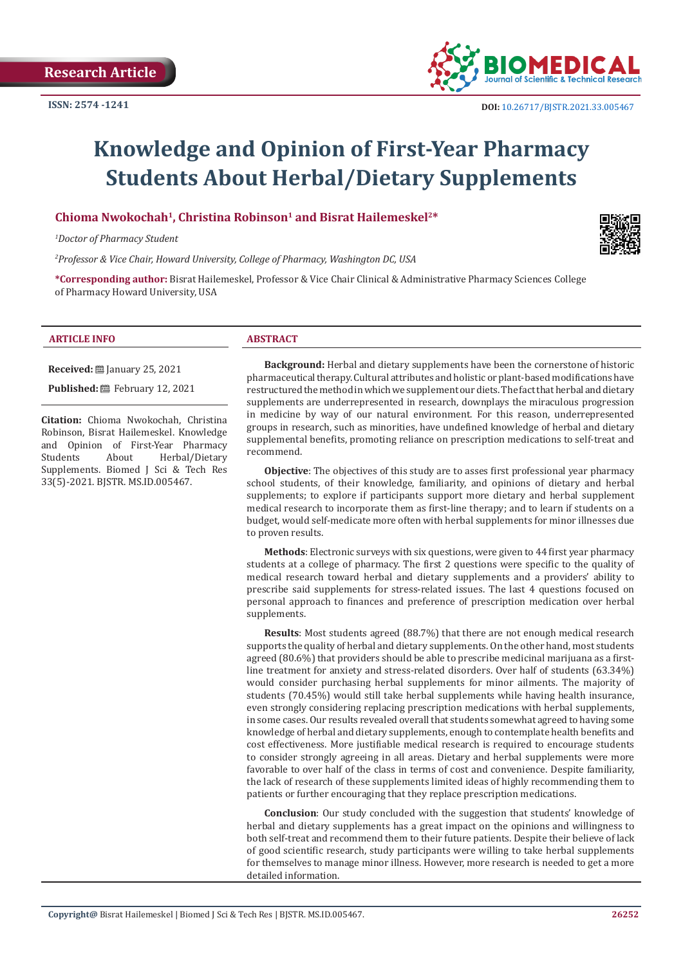

# **Knowledge and Opinion of First-Year Pharmacy Students About Herbal/Dietary Supplements**

**Chioma Nwokochah1, Christina Robinson1 and Bisrat Hailemeskel2\***

*1 Doctor of Pharmacy Student*

*2 Professor & Vice Chair, Howard University, College of Pharmacy, Washington DC, USA*

**\*Corresponding author:** Bisrat Hailemeskel, Professor & Vice Chair Clinical & Administrative Pharmacy Sciences College of Pharmacy Howard University, USA

#### **ARTICLE INFO ABSTRACT**

**Received:** January 25, 2021

**Published:** February 12, 2021

**Citation:** Chioma Nwokochah, Christina Robinson, Bisrat Hailemeskel. Knowledge and Opinion of First-Year Pharmacy<br>Students About Herbal/Dietary Herbal/Dietary Supplements. Biomed J Sci & Tech Res 33(5)-2021. BJSTR. MS.ID.005467.

**Background:** Herbal and dietary supplements have been the cornerstone of historic pharmaceutical therapy. Cultural attributes and holistic or plant-based modifications have restructured the method in which we supplement our diets. The fact that herbal and dietary supplements are underrepresented in research, downplays the miraculous progression in medicine by way of our natural environment. For this reason, underrepresented groups in research, such as minorities, have undefined knowledge of herbal and dietary supplemental benefits, promoting reliance on prescription medications to self-treat and recommend.

**Objective**: The objectives of this study are to asses first professional year pharmacy school students, of their knowledge, familiarity, and opinions of dietary and herbal supplements; to explore if participants support more dietary and herbal supplement medical research to incorporate them as first-line therapy; and to learn if students on a budget, would self-medicate more often with herbal supplements for minor illnesses due to proven results.

**Methods**: Electronic surveys with six questions, were given to 44 first year pharmacy students at a college of pharmacy. The first 2 questions were specific to the quality of medical research toward herbal and dietary supplements and a providers' ability to prescribe said supplements for stress-related issues. The last 4 questions focused on personal approach to finances and preference of prescription medication over herbal supplements.

**Results**: Most students agreed (88.7%) that there are not enough medical research supports the quality of herbal and dietary supplements. On the other hand, most students agreed (80.6%) that providers should be able to prescribe medicinal marijuana as a firstline treatment for anxiety and stress-related disorders. Over half of students (63.34%) would consider purchasing herbal supplements for minor ailments. The majority of students (70.45%) would still take herbal supplements while having health insurance, even strongly considering replacing prescription medications with herbal supplements, in some cases. Our results revealed overall that students somewhat agreed to having some knowledge of herbal and dietary supplements, enough to contemplate health benefits and cost effectiveness. More justifiable medical research is required to encourage students to consider strongly agreeing in all areas. Dietary and herbal supplements were more favorable to over half of the class in terms of cost and convenience. Despite familiarity, the lack of research of these supplements limited ideas of highly recommending them to patients or further encouraging that they replace prescription medications.

**Conclusion**: Our study concluded with the suggestion that students' knowledge of herbal and dietary supplements has a great impact on the opinions and willingness to both self-treat and recommend them to their future patients. Despite their believe of lack of good scientific research, study participants were willing to take herbal supplements for themselves to manage minor illness. However, more research is needed to get a more detailed information.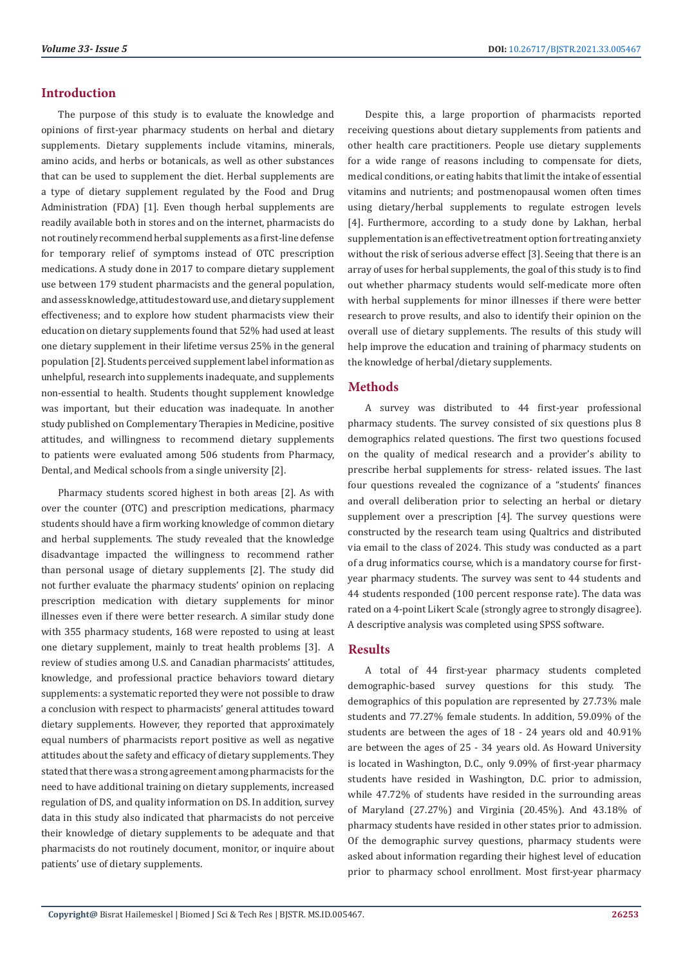## **Introduction**

The purpose of this study is to evaluate the knowledge and opinions of first-year pharmacy students on herbal and dietary supplements. Dietary supplements include vitamins, minerals, amino acids, and herbs or botanicals, as well as other substances that can be used to supplement the diet. Herbal supplements are a type of dietary supplement regulated by the Food and Drug Administration (FDA) [1]. Even though herbal supplements are readily available both in stores and on the internet, pharmacists do not routinely recommend herbal supplements as a first-line defense for temporary relief of symptoms instead of OTC prescription medications. A study done in 2017 to compare dietary supplement use between 179 student pharmacists and the general population, and assess knowledge, attitudes toward use, and dietary supplement effectiveness; and to explore how student pharmacists view their education on dietary supplements found that 52% had used at least one dietary supplement in their lifetime versus 25% in the general population [2]. Students perceived supplement label information as unhelpful, research into supplements inadequate, and supplements non-essential to health. Students thought supplement knowledge was important, but their education was inadequate. In another study published on Complementary Therapies in Medicine, positive attitudes, and willingness to recommend dietary supplements to patients were evaluated among 506 students from Pharmacy, Dental, and Medical schools from a single university [2].

Pharmacy students scored highest in both areas [2]. As with over the counter (OTC) and prescription medications, pharmacy students should have a firm working knowledge of common dietary and herbal supplements. The study revealed that the knowledge disadvantage impacted the willingness to recommend rather than personal usage of dietary supplements [2]. The study did not further evaluate the pharmacy students' opinion on replacing prescription medication with dietary supplements for minor illnesses even if there were better research. A similar study done with 355 pharmacy students, 168 were reposted to using at least one dietary supplement, mainly to treat health problems [3]. A review of studies among U.S. and Canadian pharmacists' attitudes, knowledge, and professional practice behaviors toward dietary supplements: a systematic reported they were not possible to draw a conclusion with respect to pharmacists' general attitudes toward dietary supplements. However, they reported that approximately equal numbers of pharmacists report positive as well as negative attitudes about the safety and efficacy of dietary supplements. They stated that there was a strong agreement among pharmacists for the need to have additional training on dietary supplements, increased regulation of DS, and quality information on DS. In addition, survey data in this study also indicated that pharmacists do not perceive their knowledge of dietary supplements to be adequate and that pharmacists do not routinely document, monitor, or inquire about patients' use of dietary supplements.

Despite this, a large proportion of pharmacists reported receiving questions about dietary supplements from patients and other health care practitioners. People use dietary supplements for a wide range of reasons including to compensate for diets, medical conditions, or eating habits that limit the intake of essential vitamins and nutrients; and postmenopausal women often times using dietary/herbal supplements to regulate estrogen levels [4]. Furthermore, according to a study done by Lakhan, herbal supplementation is an effective treatment option for treating anxiety without the risk of serious adverse effect [3]. Seeing that there is an array of uses for herbal supplements, the goal of this study is to find out whether pharmacy students would self-medicate more often with herbal supplements for minor illnesses if there were better research to prove results, and also to identify their opinion on the overall use of dietary supplements. The results of this study will help improve the education and training of pharmacy students on the knowledge of herbal/dietary supplements.

# **Methods**

A survey was distributed to 44 first-year professional pharmacy students. The survey consisted of six questions plus 8 demographics related questions. The first two questions focused on the quality of medical research and a provider's ability to prescribe herbal supplements for stress- related issues. The last four questions revealed the cognizance of a "students' finances and overall deliberation prior to selecting an herbal or dietary supplement over a prescription [4]. The survey questions were constructed by the research team using Qualtrics and distributed via email to the class of 2024. This study was conducted as a part of a drug informatics course, which is a mandatory course for firstyear pharmacy students. The survey was sent to 44 students and 44 students responded (100 percent response rate). The data was rated on a 4-point Likert Scale (strongly agree to strongly disagree). A descriptive analysis was completed using SPSS software.

# **Results**

A total of 44 first-year pharmacy students completed demographic-based survey questions for this study. The demographics of this population are represented by 27.73% male students and 77.27% female students. In addition, 59.09% of the students are between the ages of 18 - 24 years old and 40.91% are between the ages of 25 - 34 years old. As Howard University is located in Washington, D.C., only 9.09% of first-year pharmacy students have resided in Washington, D.C. prior to admission, while 47.72% of students have resided in the surrounding areas of Maryland (27.27%) and Virginia (20.45%). And 43.18% of pharmacy students have resided in other states prior to admission. Of the demographic survey questions, pharmacy students were asked about information regarding their highest level of education prior to pharmacy school enrollment. Most first-year pharmacy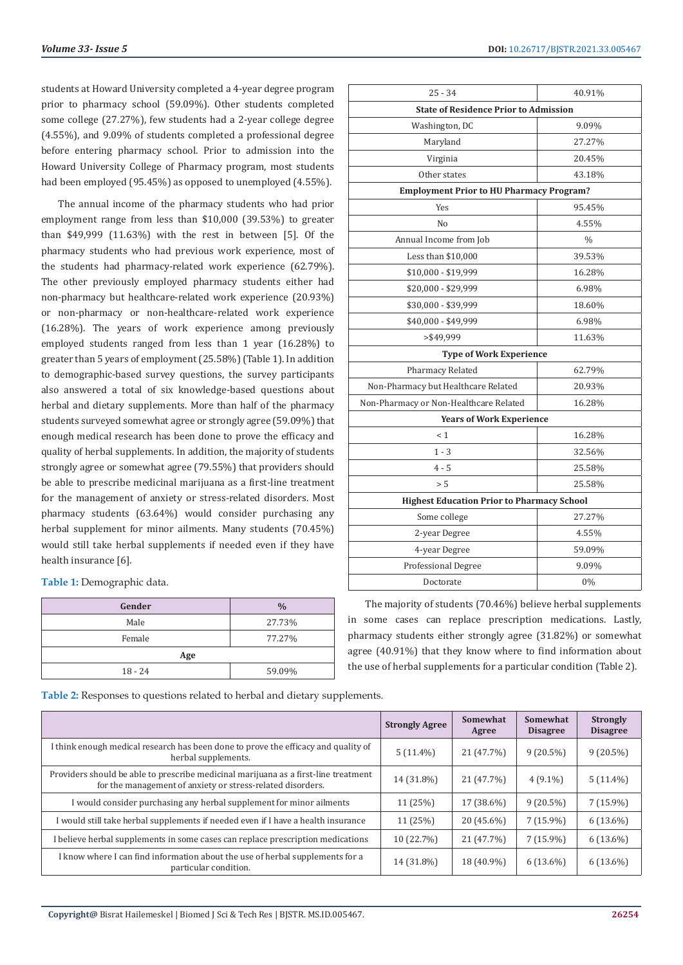students at Howard University completed a 4-year degree program prior to pharmacy school (59.09%). Other students completed some college (27.27%), few students had a 2-year college degree (4.55%), and 9.09% of students completed a professional degree before entering pharmacy school. Prior to admission into the Howard University College of Pharmacy program, most students had been employed (95.45%) as opposed to unemployed (4.55%).

The annual income of the pharmacy students who had prior employment range from less than \$10,000 (39.53%) to greater than \$49,999 (11.63%) with the rest in between [5]. Of the pharmacy students who had previous work experience, most of the students had pharmacy-related work experience (62.79%). The other previously employed pharmacy students either had non-pharmacy but healthcare-related work experience (20.93%) or non-pharmacy or non-healthcare-related work experience (16.28%). The years of work experience among previously employed students ranged from less than 1 year (16.28%) to greater than 5 years of employment (25.58%) (Table 1). In addition to demographic-based survey questions, the survey participants also answered a total of six knowledge-based questions about herbal and dietary supplements. More than half of the pharmacy students surveyed somewhat agree or strongly agree (59.09%) that enough medical research has been done to prove the efficacy and quality of herbal supplements. In addition, the majority of students strongly agree or somewhat agree (79.55%) that providers should be able to prescribe medicinal marijuana as a first-line treatment for the management of anxiety or stress-related disorders. Most pharmacy students (63.64%) would consider purchasing any herbal supplement for minor ailments. Many students (70.45%) would still take herbal supplements if needed even if they have health insurance [6].

**Table 1:** Demographic data.

| Gender    | $\frac{0}{0}$ |  |  |  |
|-----------|---------------|--|--|--|
| Male      | 27.73%        |  |  |  |
| Female    | 77.27%        |  |  |  |
| Age       |               |  |  |  |
| $18 - 24$ | 59.09%        |  |  |  |

| 25 - 34                                           | 40.91%        |  |  |  |
|---------------------------------------------------|---------------|--|--|--|
| <b>State of Residence Prior to Admission</b>      |               |  |  |  |
| Washington, DC                                    | 9.09%         |  |  |  |
| Maryland                                          | 27.27%        |  |  |  |
| Virginia                                          | 20.45%        |  |  |  |
| Other states                                      | 43.18%        |  |  |  |
| <b>Employment Prior to HU Pharmacy Program?</b>   |               |  |  |  |
| Yes                                               | 95.45%        |  |  |  |
| No                                                | 4.55%         |  |  |  |
| Annual Income from Job                            | $\frac{0}{0}$ |  |  |  |
| Less than \$10,000                                | 39.53%        |  |  |  |
| \$10,000 - \$19,999                               | 16.28%        |  |  |  |
| \$20,000 - \$29,999                               | 6.98%         |  |  |  |
| \$30,000 - \$39,999                               | 18.60%        |  |  |  |
| \$40,000 - \$49,999                               | 6.98%         |  |  |  |
| >\$49.999                                         | 11.63%        |  |  |  |
| <b>Type of Work Experience</b>                    |               |  |  |  |
| Pharmacy Related                                  | 62.79%        |  |  |  |
| Non-Pharmacy but Healthcare Related               | 20.93%        |  |  |  |
| Non-Pharmacy or Non-Healthcare Related            | 16.28%        |  |  |  |
| <b>Years of Work Experience</b>                   |               |  |  |  |
| $\leq 1$                                          | 16.28%        |  |  |  |
| $1 - 3$                                           | 32.56%        |  |  |  |
| $4 - 5$                                           | 25.58%        |  |  |  |
| > 5                                               | 25.58%        |  |  |  |
| <b>Highest Education Prior to Pharmacy School</b> |               |  |  |  |
| Some college                                      | 27.27%        |  |  |  |
| 2-year Degree                                     | 4.55%         |  |  |  |
| 4-year Degree                                     | 59.09%        |  |  |  |
| Professional Degree                               | 9.09%         |  |  |  |
| Doctorate                                         | $0\%$         |  |  |  |

The majority of students (70.46%) believe herbal supplements in some cases can replace prescription medications. Lastly, pharmacy students either strongly agree (31.82%) or somewhat agree (40.91%) that they know where to find information about the use of herbal supplements for a particular condition (Table 2).

**Table 2:** Responses to questions related to herbal and dietary supplements.

|                                                                                                                                                   | <b>Strongly Agree</b> | Somewhat<br>Agree | Somewhat<br><b>Disagree</b> | <b>Strongly</b><br><b>Disagree</b> |
|---------------------------------------------------------------------------------------------------------------------------------------------------|-----------------------|-------------------|-----------------------------|------------------------------------|
| I think enough medical research has been done to prove the efficacy and quality of<br>herbal supplements.                                         | $5(11.4\%)$           | 21 (47.7%)        | $9(20.5\%)$                 | $9(20.5\%)$                        |
| Providers should be able to prescribe medicinal marijuana as a first-line treatment<br>for the management of anxiety or stress-related disorders. | 14 (31.8%)            | 21 (47.7%)        | $4(9.1\%)$                  | $5(11.4\%)$                        |
| I would consider purchasing any herbal supplement for minor ailments                                                                              | 11 (25%)              | 17 (38.6%)        | $9(20.5\%)$                 | $7(15.9\%)$                        |
| I would still take herbal supplements if needed even if I have a health insurance                                                                 | 11 (25%)              | 20 (45.6%)        | $7(15.9\%)$                 | $6(13.6\%)$                        |
| I believe herbal supplements in some cases can replace prescription medications                                                                   | 10 (22.7%)            | 21 (47.7%)        | $7(15.9\%)$                 | $6(13.6\%)$                        |
| I know where I can find information about the use of herbal supplements for a<br>particular condition.                                            | 14 (31.8%)            | 18 (40.9%)        | $6(13.6\%)$                 | $6(13.6\%)$                        |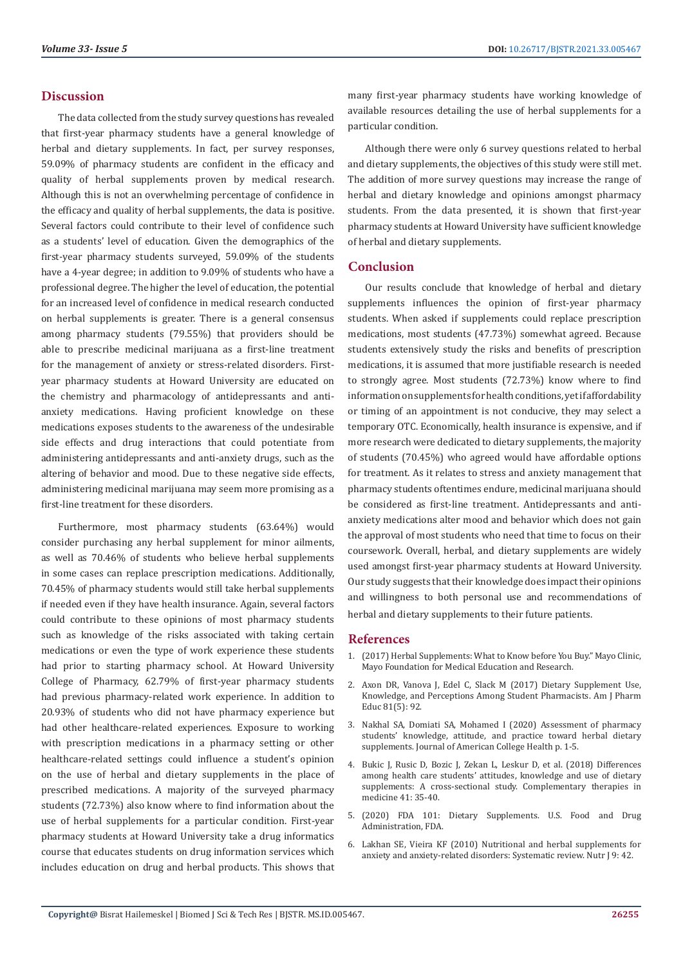### **Discussion**

The data collected from the study survey questions has revealed that first-year pharmacy students have a general knowledge of herbal and dietary supplements. In fact, per survey responses, 59.09% of pharmacy students are confident in the efficacy and quality of herbal supplements proven by medical research. Although this is not an overwhelming percentage of confidence in the efficacy and quality of herbal supplements, the data is positive. Several factors could contribute to their level of confidence such as a students' level of education. Given the demographics of the first-year pharmacy students surveyed, 59.09% of the students have a 4-year degree; in addition to 9.09% of students who have a professional degree. The higher the level of education, the potential for an increased level of confidence in medical research conducted on herbal supplements is greater. There is a general consensus among pharmacy students (79.55%) that providers should be able to prescribe medicinal marijuana as a first-line treatment for the management of anxiety or stress-related disorders. Firstyear pharmacy students at Howard University are educated on the chemistry and pharmacology of antidepressants and antianxiety medications. Having proficient knowledge on these medications exposes students to the awareness of the undesirable side effects and drug interactions that could potentiate from administering antidepressants and anti-anxiety drugs, such as the altering of behavior and mood. Due to these negative side effects, administering medicinal marijuana may seem more promising as a first-line treatment for these disorders.

Furthermore, most pharmacy students (63.64%) would consider purchasing any herbal supplement for minor ailments, as well as 70.46% of students who believe herbal supplements in some cases can replace prescription medications. Additionally, 70.45% of pharmacy students would still take herbal supplements if needed even if they have health insurance. Again, several factors could contribute to these opinions of most pharmacy students such as knowledge of the risks associated with taking certain medications or even the type of work experience these students had prior to starting pharmacy school. At Howard University College of Pharmacy, 62.79% of first-year pharmacy students had previous pharmacy-related work experience. In addition to 20.93% of students who did not have pharmacy experience but had other healthcare-related experiences. Exposure to working with prescription medications in a pharmacy setting or other healthcare-related settings could influence a student's opinion on the use of herbal and dietary supplements in the place of prescribed medications. A majority of the surveyed pharmacy students (72.73%) also know where to find information about the use of herbal supplements for a particular condition. First-year pharmacy students at Howard University take a drug informatics course that educates students on drug information services which includes education on drug and herbal products. This shows that many first-year pharmacy students have working knowledge of available resources detailing the use of herbal supplements for a particular condition.

Although there were only 6 survey questions related to herbal and dietary supplements, the objectives of this study were still met. The addition of more survey questions may increase the range of herbal and dietary knowledge and opinions amongst pharmacy students. From the data presented, it is shown that first-year pharmacy students at Howard University have sufficient knowledge of herbal and dietary supplements.

### **Conclusion**

Our results conclude that knowledge of herbal and dietary supplements influences the opinion of first-year pharmacy students. When asked if supplements could replace prescription medications, most students (47.73%) somewhat agreed. Because students extensively study the risks and benefits of prescription medications, it is assumed that more justifiable research is needed to strongly agree. Most students (72.73%) know where to find information on supplements for health conditions, yet if affordability or timing of an appointment is not conducive, they may select a temporary OTC. Economically, health insurance is expensive, and if more research were dedicated to dietary supplements, the majority of students (70.45%) who agreed would have affordable options for treatment. As it relates to stress and anxiety management that pharmacy students oftentimes endure, medicinal marijuana should be considered as first-line treatment. Antidepressants and antianxiety medications alter mood and behavior which does not gain the approval of most students who need that time to focus on their coursework. Overall, herbal, and dietary supplements are widely used amongst first-year pharmacy students at Howard University. Our study suggests that their knowledge does impact their opinions and willingness to both personal use and recommendations of herbal and dietary supplements to their future patients.

#### **References**

- 1. [\(2017\) Herbal Supplements: What to Know before You Buy." Mayo Clinic,](https://www.mayoclinic.org/healthy-lifestyle/nutrition-and-healthy-eating/in-depth/herbal-supplements/art-20046714) [Mayo Foundation for Medical Education and Research.](https://www.mayoclinic.org/healthy-lifestyle/nutrition-and-healthy-eating/in-depth/herbal-supplements/art-20046714)
- 2. [Axon DR, Vanova J, Edel C, Slack M \(2017\) Dietary Supplement Use,](https://www.ncbi.nlm.nih.gov/pmc/articles/PMC5508091/) [Knowledge, and Perceptions Among Student Pharmacists. Am J Pharm](https://www.ncbi.nlm.nih.gov/pmc/articles/PMC5508091/) [Educ 81\(5\): 92.](https://www.ncbi.nlm.nih.gov/pmc/articles/PMC5508091/)
- 3. [Nakhal SA, Domiati SA, Mohamed I \(2020\) Assessment of pharmacy](https://pubmed.ncbi.nlm.nih.gov/33048645/) [students' knowledge, attitude, and practice toward herbal dietary](https://pubmed.ncbi.nlm.nih.gov/33048645/) [supplements. Journal of American College Health p. 1-5.](https://pubmed.ncbi.nlm.nih.gov/33048645/)
- 4. [Bukic J, Rusic D, Bozic J, Zekan L, Leskur D, et al. \(2018\) Differences](https://europepmc.org/article/med/30477862) [among health care students' attitudes, knowledge and use of dietary](https://europepmc.org/article/med/30477862) [supplements: A cross-sectional study. Complementary therapies in](https://europepmc.org/article/med/30477862) [medicine 41: 35-40.](https://europepmc.org/article/med/30477862)
- 5. [\(2020\) FDA 101: Dietary Supplements. U.S. Food and Drug](https://www.fda.gov/consumers/consumer-updates/fda-101-dietary-supplements) [Administration, FDA.](https://www.fda.gov/consumers/consumer-updates/fda-101-dietary-supplements)
- 6. Lakhan SE, Vieira KF (2010) Nutritional and herbal supplements for anxiety and anxiety-related disorders: Systematic review. Nutr J 9: 42.